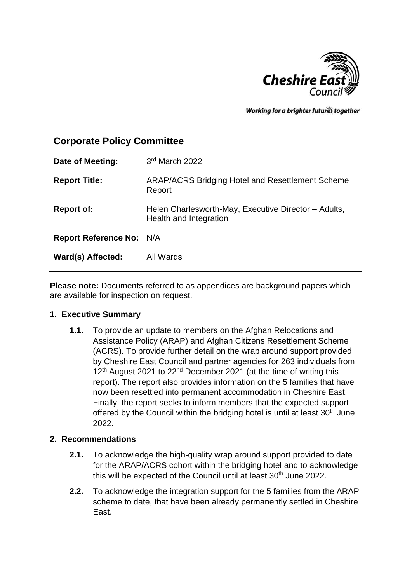

Working for a brighter futures together

# **Corporate Policy Committee**

| Date of Meeting:                | 3rd March 2022                                                                 |
|---------------------------------|--------------------------------------------------------------------------------|
| <b>Report Title:</b>            | <b>ARAP/ACRS Bridging Hotel and Resettlement Scheme</b><br>Report              |
| <b>Report of:</b>               | Helen Charlesworth-May, Executive Director - Adults,<br>Health and Integration |
| <b>Report Reference No: N/A</b> |                                                                                |
| Ward(s) Affected:               | All Wards                                                                      |

**Please note:** Documents referred to as appendices are background papers which are available for inspection on request.

### **1. Executive Summary**

**1.1.** To provide an update to members on the Afghan Relocations and Assistance Policy (ARAP) and Afghan Citizens Resettlement Scheme (ACRS). To provide further detail on the wrap around support provided by Cheshire East Council and partner agencies for 263 individuals from 12<sup>th</sup> August 2021 to 22<sup>nd</sup> December 2021 (at the time of writing this report). The report also provides information on the 5 families that have now been resettled into permanent accommodation in Cheshire East. Finally, the report seeks to inform members that the expected support offered by the Council within the bridging hotel is until at least 30<sup>th</sup> June 2022.

### **2. Recommendations**

- **2.1.** To acknowledge the high-quality wrap around support provided to date for the ARAP/ACRS cohort within the bridging hotel and to acknowledge this will be expected of the Council until at least 30<sup>th</sup> June 2022.
- **2.2.** To acknowledge the integration support for the 5 families from the ARAP scheme to date, that have been already permanently settled in Cheshire East.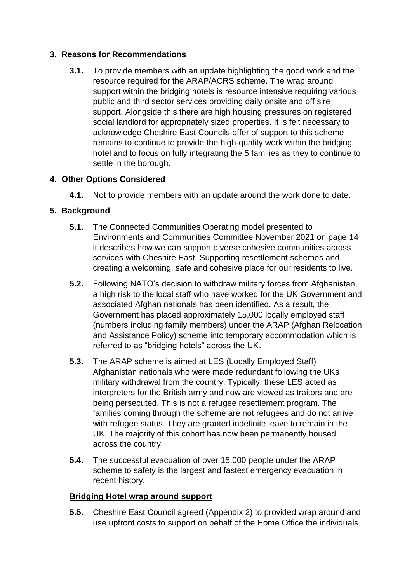## **3. Reasons for Recommendations**

**3.1.** To provide members with an update highlighting the good work and the resource required for the ARAP/ACRS scheme. The wrap around support within the bridging hotels is resource intensive requiring various public and third sector services providing daily onsite and off sire support. Alongside this there are high housing pressures on registered social landlord for appropriately sized properties. It is felt necessary to acknowledge Cheshire East Councils offer of support to this scheme remains to continue to provide the high-quality work within the bridging hotel and to focus on fully integrating the 5 families as they to continue to settle in the borough.

# **4. Other Options Considered**

**4.1.** Not to provide members with an update around the work done to date.

# **5. Background**

- **5.1.** The Connected Communities Operating model presented to Environments and Communities Committee November 2021 on page 14 it describes how we can support diverse cohesive communities across services with Cheshire East. Supporting resettlement schemes and creating a welcoming, safe and cohesive place for our residents to live.
- **5.2.** Following NATO's decision to withdraw military forces from Afghanistan, a high risk to the local staff who have worked for the UK Government and associated Afghan nationals has been identified. As a result, the Government has placed approximately 15,000 locally employed staff (numbers including family members) under the ARAP (Afghan Relocation and Assistance Policy) scheme into temporary accommodation which is referred to as "bridging hotels" across the UK.
- **5.3.** The ARAP scheme is aimed at LES (Locally Employed Staff) Afghanistan nationals who were made redundant following the UKs military withdrawal from the country. Typically, these LES acted as interpreters for the British army and now are viewed as traitors and are being persecuted. This is not a refugee resettlement program. The families coming through the scheme are not refugees and do not arrive with refugee status. They are granted indefinite leave to remain in the UK. The majority of this cohort has now been permanently housed across the country.
- **5.4.** The successful evacuation of over 15,000 people under the ARAP scheme to safety is the largest and fastest emergency evacuation in recent history.

## **Bridging Hotel wrap around support**

**5.5.** Cheshire East Council agreed (Appendix 2) to provided wrap around and use upfront costs to support on behalf of the Home Office the individuals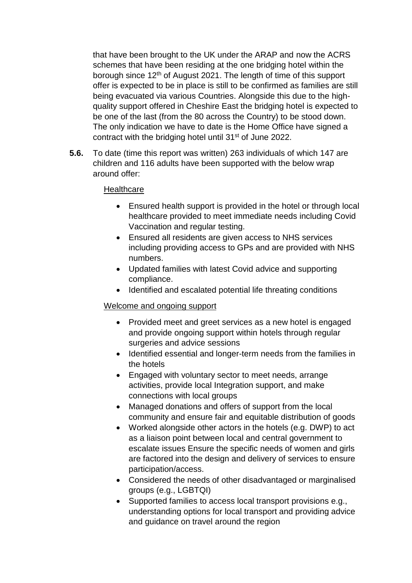that have been brought to the UK under the ARAP and now the ACRS schemes that have been residing at the one bridging hotel within the borough since 12<sup>th</sup> of August 2021. The length of time of this support offer is expected to be in place is still to be confirmed as families are still being evacuated via various Countries. Alongside this due to the highquality support offered in Cheshire East the bridging hotel is expected to be one of the last (from the 80 across the Country) to be stood down. The only indication we have to date is the Home Office have signed a contract with the bridging hotel until 31st of June 2022.

**5.6.** To date (time this report was written) 263 individuals of which 147 are children and 116 adults have been supported with the below wrap around offer:

### **Healthcare**

- Ensured health support is provided in the hotel or through local healthcare provided to meet immediate needs including Covid Vaccination and regular testing.
- Ensured all residents are given access to NHS services including providing access to GPs and are provided with NHS numbers.
- Updated families with latest Covid advice and supporting compliance.
- Identified and escalated potential life threating conditions

### Welcome and ongoing support

- Provided meet and greet services as a new hotel is engaged and provide ongoing support within hotels through regular surgeries and advice sessions
- Identified essential and longer-term needs from the families in the hotels
- Engaged with voluntary sector to meet needs, arrange activities, provide local Integration support, and make connections with local groups
- Managed donations and offers of support from the local community and ensure fair and equitable distribution of goods
- Worked alongside other actors in the hotels (e.g. DWP) to act as a liaison point between local and central government to escalate issues Ensure the specific needs of women and girls are factored into the design and delivery of services to ensure participation/access.
- Considered the needs of other disadvantaged or marginalised groups (e.g., LGBTQI)
- Supported families to access local transport provisions e.g., understanding options for local transport and providing advice and guidance on travel around the region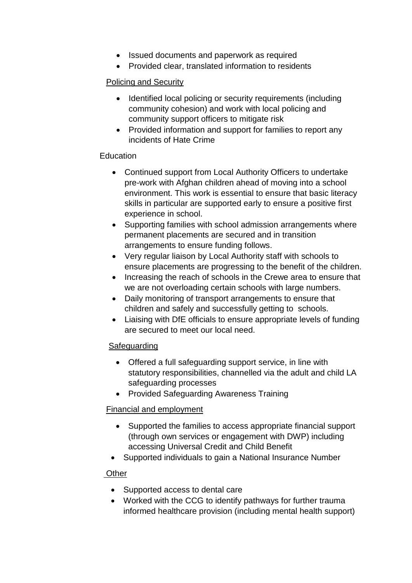- Issued documents and paperwork as required
- Provided clear, translated information to residents

# Policing and Security

- Identified local policing or security requirements (including community cohesion) and work with local policing and community support officers to mitigate risk
- Provided information and support for families to report any incidents of Hate Crime

## **Education**

- Continued support from Local Authority Officers to undertake pre-work with Afghan children ahead of moving into a school environment. This work is essential to ensure that basic literacy skills in particular are supported early to ensure a positive first experience in school.
- Supporting families with school admission arrangements where permanent placements are secured and in transition arrangements to ensure funding follows.
- Very regular liaison by Local Authority staff with schools to ensure placements are progressing to the benefit of the children.
- Increasing the reach of schools in the Crewe area to ensure that we are not overloading certain schools with large numbers.
- Daily monitoring of transport arrangements to ensure that children and safely and successfully getting to schools.
- Liaising with DfE officials to ensure appropriate levels of funding are secured to meet our local need.

## Safeguarding

- Offered a full safeguarding support service, in line with statutory responsibilities, channelled via the adult and child LA safeguarding processes
- Provided Safeguarding Awareness Training

# Financial and employment

- Supported the families to access appropriate financial support (through own services or engagement with DWP) including accessing Universal Credit and Child Benefit
- Supported individuals to gain a National Insurance Number

## **Other**

- Supported access to dental care
- Worked with the CCG to identify pathways for further trauma informed healthcare provision (including mental health support)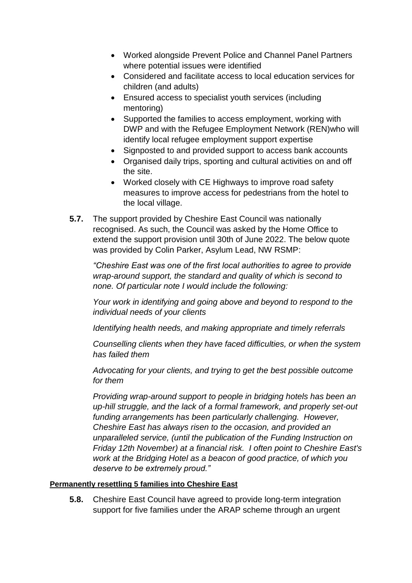- Worked alongside Prevent Police and Channel Panel Partners where potential issues were identified
- Considered and facilitate access to local education services for children (and adults)
- Ensured access to specialist youth services (including mentoring)
- Supported the families to access employment, working with DWP and with the Refugee Employment Network (REN)who will identify local refugee employment support expertise
- Signposted to and provided support to access bank accounts
- Organised daily trips, sporting and cultural activities on and off the site.
- Worked closely with CE Highways to improve road safety measures to improve access for pedestrians from the hotel to the local village.
- **5.7.** The support provided by Cheshire East Council was nationally recognised. As such, the Council was asked by the Home Office to extend the support provision until 30th of June 2022. The below quote was provided by Colin Parker, Asylum Lead, NW RSMP:

*"Cheshire East was one of the first local authorities to agree to provide wrap-around support, the standard and quality of which is second to none. Of particular note I would include the following:*

*Your work in identifying and going above and beyond to respond to the individual needs of your clients*

*Identifying health needs, and making appropriate and timely referrals*

*Counselling clients when they have faced difficulties, or when the system has failed them*

*Advocating for your clients, and trying to get the best possible outcome for them*

*Providing wrap-around support to people in bridging hotels has been an up-hill struggle, and the lack of a formal framework, and properly set-out funding arrangements has been particularly challenging. However, Cheshire East has always risen to the occasion, and provided an unparalleled service, (until the publication of the Funding Instruction on Friday 12th November) at a financial risk. I often point to Cheshire East's work at the Bridging Hotel as a beacon of good practice, of which you deserve to be extremely proud."* 

## **Permanently resettling 5 families into Cheshire East**

**5.8.** Cheshire East Council have agreed to provide long-term integration support for five families under the ARAP scheme through an urgent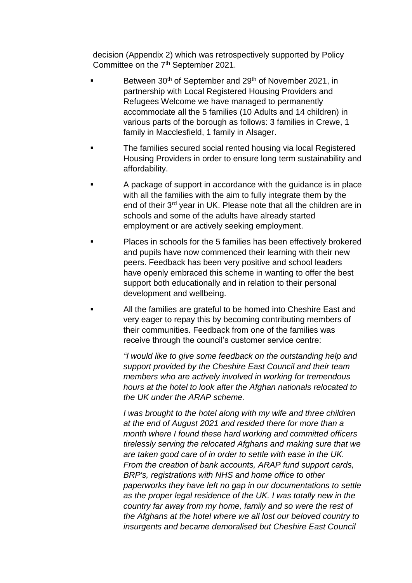decision (Appendix 2) which was retrospectively supported by Policy Committee on the 7<sup>th</sup> September 2021.

- Between 30<sup>th</sup> of September and 29<sup>th</sup> of November 2021, in partnership with Local Registered Housing Providers and Refugees Welcome we have managed to permanently accommodate all the 5 families (10 Adults and 14 children) in various parts of the borough as follows: 3 families in Crewe, 1 family in Macclesfield, 1 family in Alsager.
- The families secured social rented housing via local Registered Housing Providers in order to ensure long term sustainability and affordability.
- A package of support in accordance with the guidance is in place with all the families with the aim to fully integrate them by the end of their 3rd year in UK. Please note that all the children are in schools and some of the adults have already started employment or are actively seeking employment.
- Places in schools for the 5 families has been effectively brokered and pupils have now commenced their learning with their new peers. Feedback has been very positive and school leaders have openly embraced this scheme in wanting to offer the best support both educationally and in relation to their personal development and wellbeing.
- All the families are grateful to be homed into Cheshire East and very eager to repay this by becoming contributing members of their communities. Feedback from one of the families was receive through the council's customer service centre:

*"I would like to give some feedback on the outstanding help and support provided by the Cheshire East Council and their team members who are actively involved in working for tremendous hours at the hotel to look after the Afghan nationals relocated to the UK under the ARAP scheme.*

*I* was brought to the hotel along with my wife and three children *at the end of August 2021 and resided there for more than a month where I found these hard working and committed officers tirelessly serving the relocated Afghans and making sure that we are taken good care of in order to settle with ease in the UK. From the creation of bank accounts, ARAP fund support cards, BRP's, registrations with NHS and home office to other paperworks they have left no gap in our documentations to settle*  as the proper legal residence of the UK. I was totally new in the *country far away from my home, family and so were the rest of the Afghans at the hotel where we all lost our beloved country to insurgents and became demoralised but Cheshire East Council*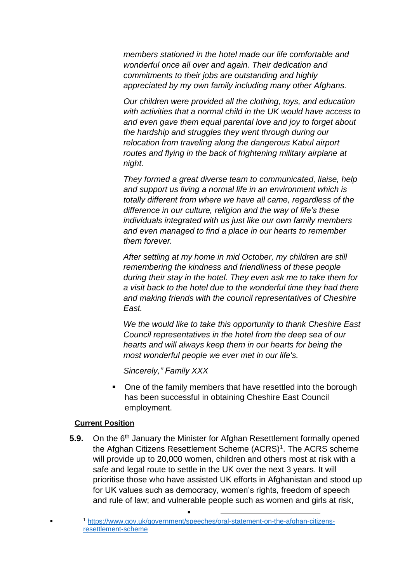*members stationed in the hotel made our life comfortable and wonderful once all over and again. Their dedication and commitments to their jobs are outstanding and highly appreciated by my own family including many other Afghans.*

*Our children were provided all the clothing, toys, and education with activities that a normal child in the UK would have access to and even gave them equal parental love and joy to forget about the hardship and struggles they went through during our relocation from traveling along the dangerous Kabul airport routes and flying in the back of frightening military airplane at night.*

*They formed a great diverse team to communicated, liaise, help and support us living a normal life in an environment which is totally different from where we have all came, regardless of the difference in our culture, religion and the way of life's these individuals integrated with us just like our own family members and even managed to find a place in our hearts to remember them forever.*

*After settling at my home in mid October, my children are still remembering the kindness and friendliness of these people during their stay in the hotel. They even ask me to take them for a visit back to the hotel due to the wonderful time they had there and making friends with the council representatives of Cheshire East.*

*We the would like to take this opportunity to thank Cheshire East Council representatives in the hotel from the deep sea of our hearts and will always keep them in our hearts for being the most wonderful people we ever met in our life's.*

*Sincerely," Family XXX*

 One of the family members that have resettled into the borough has been successful in obtaining Cheshire East Council employment.

#### **Current Position**

.

**5.9.** On the 6<sup>th</sup> January the Minister for Afghan Resettlement formally opened the Afghan Citizens Resettlement Scheme (ACRS)<sup>1</sup>. The ACRS scheme will provide up to 20,000 women, children and others most at risk with a safe and legal route to settle in the UK over the next 3 years. It will prioritise those who have assisted UK efforts in Afghanistan and stood up for UK values such as democracy, women's rights, freedom of speech and rule of law; and vulnerable people such as women and girls at risk,

 $\blacksquare$ 

<sup>1</sup> [https://www.gov.uk/government/speeches/oral-statement-on-the-afghan-citizens](https://www.gov.uk/government/speeches/oral-statement-on-the-afghan-citizens-resettlement-scheme)[resettlement-scheme](https://www.gov.uk/government/speeches/oral-statement-on-the-afghan-citizens-resettlement-scheme)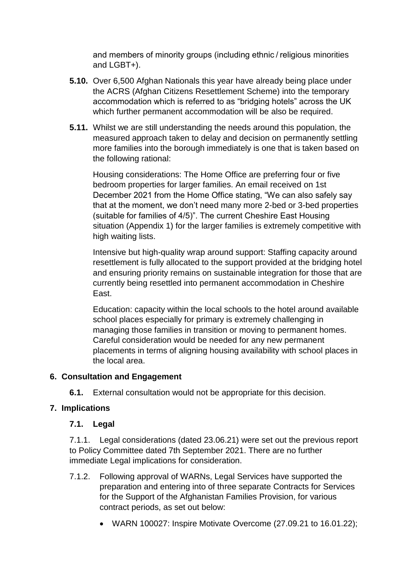and members of minority groups (including ethnic / religious minorities and LGBT+).

- **5.10.** Over 6,500 Afghan Nationals this year have already being place under the ACRS (Afghan Citizens Resettlement Scheme) into the temporary accommodation which is referred to as "bridging hotels" across the UK which further permanent accommodation will be also be required.
- **5.11.** Whilst we are still understanding the needs around this population, the measured approach taken to delay and decision on permanently settling more families into the borough immediately is one that is taken based on the following rational:

Housing considerations: The Home Office are preferring four or five bedroom properties for larger families. An email received on 1st December 2021 from the Home Office stating, "We can also safely say that at the moment, we don't need many more 2-bed or 3-bed properties (suitable for families of 4/5)". The current Cheshire East Housing situation (Appendix 1) for the larger families is extremely competitive with high waiting lists.

Intensive but high-quality wrap around support: Staffing capacity around resettlement is fully allocated to the support provided at the bridging hotel and ensuring priority remains on sustainable integration for those that are currently being resettled into permanent accommodation in Cheshire East.

Education: capacity within the local schools to the hotel around available school places especially for primary is extremely challenging in managing those families in transition or moving to permanent homes. Careful consideration would be needed for any new permanent placements in terms of aligning housing availability with school places in the local area.

## **6. Consultation and Engagement**

**6.1.** External consultation would not be appropriate for this decision.

## **7. Implications**

## **7.1. Legal**

7.1.1. Legal considerations (dated 23.06.21) were set out the previous report to Policy Committee dated 7th September 2021. There are no further immediate Legal implications for consideration.

- 7.1.2. Following approval of WARNs, Legal Services have supported the preparation and entering into of three separate Contracts for Services for the Support of the Afghanistan Families Provision, for various contract periods, as set out below:
	- WARN 100027: Inspire Motivate Overcome (27.09.21 to 16.01.22);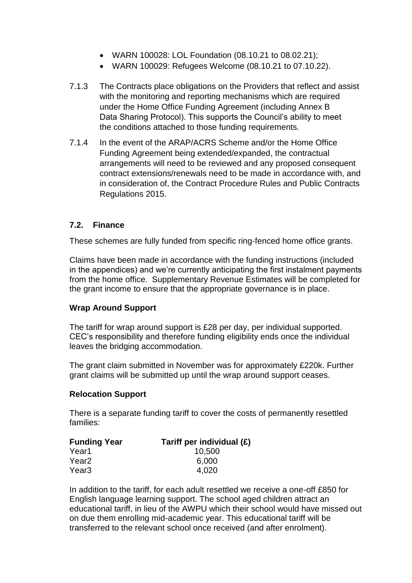- WARN 100028: LOL Foundation (08.10.21 to 08.02.21);
- WARN 100029: Refugees Welcome (08.10.21 to 07.10.22).
- 7.1.3 The Contracts place obligations on the Providers that reflect and assist with the monitoring and reporting mechanisms which are required under the Home Office Funding Agreement (including Annex B Data Sharing Protocol). This supports the Council's ability to meet the conditions attached to those funding requirements.
- 7.1.4 In the event of the ARAP/ACRS Scheme and/or the Home Office Funding Agreement being extended/expanded, the contractual arrangements will need to be reviewed and any proposed consequent contract extensions/renewals need to be made in accordance with, and in consideration of, the Contract Procedure Rules and Public Contracts Regulations 2015.

### **7.2. Finance**

These schemes are fully funded from specific ring-fenced home office grants.

Claims have been made in accordance with the funding instructions (included in the appendices) and we're currently anticipating the first instalment payments from the home office. Supplementary Revenue Estimates will be completed for the grant income to ensure that the appropriate governance is in place.

### **Wrap Around Support**

The tariff for wrap around support is £28 per day, per individual supported. CEC's responsibility and therefore funding eligibility ends once the individual leaves the bridging accommodation.

The grant claim submitted in November was for approximately £220k. Further grant claims will be submitted up until the wrap around support ceases.

### **Relocation Support**

There is a separate funding tariff to cover the costs of permanently resettled families:

| Tariff per individual (£) |
|---------------------------|
| 10,500                    |
| 6,000                     |
| 4,020                     |
|                           |

In addition to the tariff, for each adult resettled we receive a one-off £850 for English language learning support. The school aged children attract an educational tariff, in lieu of the AWPU which their school would have missed out on due them enrolling mid-academic year. This educational tariff will be transferred to the relevant school once received (and after enrolment).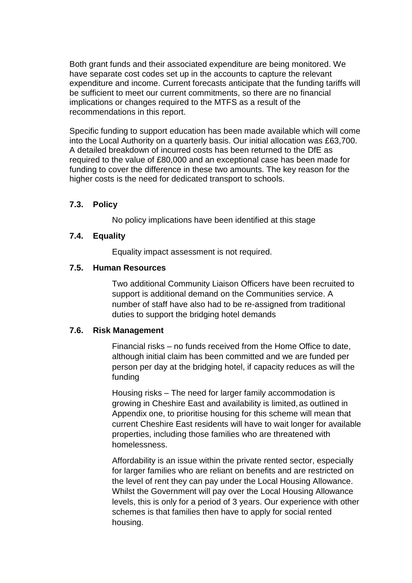Both grant funds and their associated expenditure are being monitored. We have separate cost codes set up in the accounts to capture the relevant expenditure and income. Current forecasts anticipate that the funding tariffs will be sufficient to meet our current commitments, so there are no financial implications or changes required to the MTFS as a result of the recommendations in this report.

Specific funding to support education has been made available which will come into the Local Authority on a quarterly basis. Our initial allocation was £63,700. A detailed breakdown of incurred costs has been returned to the DfE as required to the value of £80,000 and an exceptional case has been made for funding to cover the difference in these two amounts. The key reason for the higher costs is the need for dedicated transport to schools.

### **7.3. Policy**

No policy implications have been identified at this stage

### **7.4. Equality**

Equality impact assessment is not required.

#### **7.5. Human Resources**

Two additional Community Liaison Officers have been recruited to support is additional demand on the Communities service. A number of staff have also had to be re-assigned from traditional duties to support the bridging hotel demands

#### **7.6. Risk Management**

Financial risks – no funds received from the Home Office to date, although initial claim has been committed and we are funded per person per day at the bridging hotel, if capacity reduces as will the funding

Housing risks – The need for larger family accommodation is growing in Cheshire East and availability is limited,as outlined in Appendix one, to prioritise housing for this scheme will mean that current Cheshire East residents will have to wait longer for available properties, including those families who are threatened with homelessness.

Affordability is an issue within the private rented sector, especially for larger families who are reliant on benefits and are restricted on the level of rent they can pay under the Local Housing Allowance. Whilst the Government will pay over the Local Housing Allowance levels, this is only for a period of 3 years. Our experience with other schemes is that families then have to apply for social rented housing.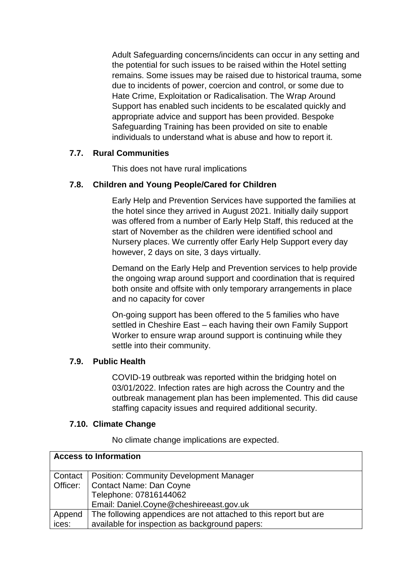Adult Safeguarding concerns/incidents can occur in any setting and the potential for such issues to be raised within the Hotel setting remains. Some issues may be raised due to historical trauma, some due to incidents of power, coercion and control, or some due to Hate Crime, Exploitation or Radicalisation. The Wrap Around Support has enabled such incidents to be escalated quickly and appropriate advice and support has been provided. Bespoke Safeguarding Training has been provided on site to enable individuals to understand what is abuse and how to report it.

### **7.7. Rural Communities**

This does not have rural implications

### **7.8. Children and Young People/Cared for Children**

Early Help and Prevention Services have supported the families at the hotel since they arrived in August 2021. Initially daily support was offered from a number of Early Help Staff, this reduced at the start of November as the children were identified school and Nursery places. We currently offer Early Help Support every day however, 2 days on site, 3 days virtually.

Demand on the Early Help and Prevention services to help provide the ongoing wrap around support and coordination that is required both onsite and offsite with only temporary arrangements in place and no capacity for cover

On-going support has been offered to the 5 families who have settled in Cheshire East – each having their own Family Support Worker to ensure wrap around support is continuing while they settle into their community.

### **7.9. Public Health**

COVID-19 outbreak was reported within the bridging hotel on 03/01/2022. Infection rates are high across the Country and the outbreak management plan has been implemented. This did cause staffing capacity issues and required additional security.

### **7.10. Climate Change**

No climate change implications are expected.

| <b>Access to Information</b> |                                                                  |
|------------------------------|------------------------------------------------------------------|
| Contact                      | <b>Position: Community Development Manager</b>                   |
| Officer:                     | Contact Name: Dan Coyne                                          |
|                              | Telephone: 07816144062                                           |
|                              | Email: Daniel.Coyne@cheshireeast.gov.uk                          |
| Append                       | The following appendices are not attached to this report but are |
| ices:                        | available for inspection as background papers:                   |